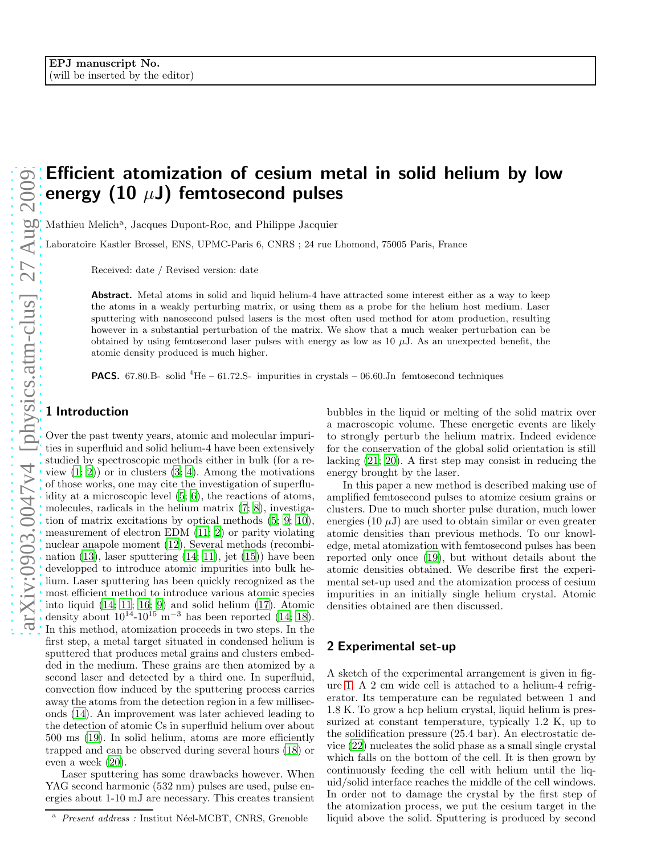# Efficient atomization of cesium metal in solid helium by low energy (10  $\mu$ J) femtosecond pulses

Mathieu Melich<sup>a</sup>, Jacques Dupont-Roc, and Philippe Jacquier

Laboratoire Kastler Brossel, ENS, UPMC-Paris 6, CNRS ; 24 rue Lhomond, 75005 Paris, France

Received: date / Revised version: date

Abstract. Metal atoms in solid and liquid helium-4 have attracted some interest either as a way to keep the atoms in a weakly perturbing matrix, or using them as a probe for the helium host medium. Laser sputtering with nanosecond pulsed lasers is the most often used method for atom production, resulting however in a substantial perturbation of the matrix. We show that a much weaker perturbation can be obtained by using femtosecond laser pulses with energy as low as 10  $\mu$ J. As an unexpected benefit, the atomic density produced is much higher.

**PACS.** 67.80.B- solid  ${}^{4}$ He – 61.72.S- impurities in crystals – 06.60.Jn femtosecond techniques

# 1 Introduction

Over the past twenty years, atomic and molecular impurities in superfluid and solid helium-4 have been extensively studied by spectroscopic methods either in bulk (for a review  $(1; 2)$  $(1; 2)$  or in clusters  $(3; 4)$  $(3; 4)$  $(3; 4)$ . Among the motivations of those works, one may cite the investigation of superfluidity at a microscopic level [\(5](#page-2-4); [6](#page-2-5)), the reactions of atoms, molecules, radicals in the helium matrix [\(7](#page-2-6); [8](#page-3-0)), investigation of matrix excitations by optical methods [\(5](#page-2-4); [9](#page-3-1); [10\)](#page-3-2), measurement of electron EDM [\(11](#page-3-3); [2](#page-2-1)) or parity violating nuclear anapole moment [\(12\)](#page-3-4). Several methods (recombination  $(13)$ , laser sputtering  $(14; 11)$  $(14; 11)$  $(14; 11)$ , jet  $(15)$ ) have been developped to introduce atomic impurities into bulk helium. Laser sputtering has been quickly recognized as the most efficient method to introduce various atomic species into liquid [\(14](#page-3-6); [11](#page-3-3); [16;](#page-3-8) [9](#page-3-1)) and solid helium [\(17](#page-3-9)). Atomic density about  $10^{14}$ - $10^{15}$  m<sup>-3</sup> has been reported [\(14;](#page-3-6) [18\)](#page-3-10). In this method, atomization proceeds in two steps. In the first step, a metal target situated in condensed helium is sputtered that produces metal grains and clusters embedded in the medium. These grains are then atomized by a second laser and detected by a third one. In superfluid, convection flow induced by the sputtering process carries away the atoms from the detection region in a few milliseconds [\(14](#page-3-6)). An improvement was later achieved leading to the detection of atomic Cs in superfluid helium over about 500 ms [\(19\)](#page-3-11). In solid helium, atoms are more efficiently trapped and can be observed during several hours [\(18\)](#page-3-10) or even a week [\(20](#page-3-12)).

Laser sputtering has some drawbacks however. When YAG second harmonic (532 nm) pulses are used, pulse energies about 1-10 mJ are necessary. This creates transient bubbles in the liquid or melting of the solid matrix over a macroscopic volume. These energetic events are likely to strongly perturb the helium matrix. Indeed evidence for the conservation of the global solid orientation is still lacking [\(21;](#page-3-13) [20](#page-3-12)). A first step may consist in reducing the energy brought by the laser.

In this paper a new method is described making use of amplified femtosecond pulses to atomize cesium grains or clusters. Due to much shorter pulse duration, much lower energies  $(10 \mu J)$  are used to obtain similar or even greater atomic densities than previous methods. To our knowledge, metal atomization with femtosecond pulses has been reported only once [\(19\)](#page-3-11), but without details about the atomic densities obtained. We describe first the experimental set-up used and the atomization process of cesium impurities in an initially single helium crystal. Atomic densities obtained are then discussed.

## 2 Experimental set-up

A sketch of the experimental arrangement is given in figure [1.](#page-1-0) A 2 cm wide cell is attached to a helium-4 refrigerator. Its temperature can be regulated between 1 and 1.8 K. To grow a hcp helium crystal, liquid helium is pressurized at constant temperature, typically 1.2 K, up to the solidification pressure (25.4 bar). An electrostatic device [\(22](#page-3-14)) nucleates the solid phase as a small single crystal which falls on the bottom of the cell. It is then grown by continuously feeding the cell with helium until the liquid/solid interface reaches the middle of the cell windows. In order not to damage the crystal by the first step of the atomization process, we put the cesium target in the liquid above the solid. Sputtering is produced by second

<sup>&</sup>lt;sup>a</sup> Present address : Institut Néel-MCBT, CNRS, Grenoble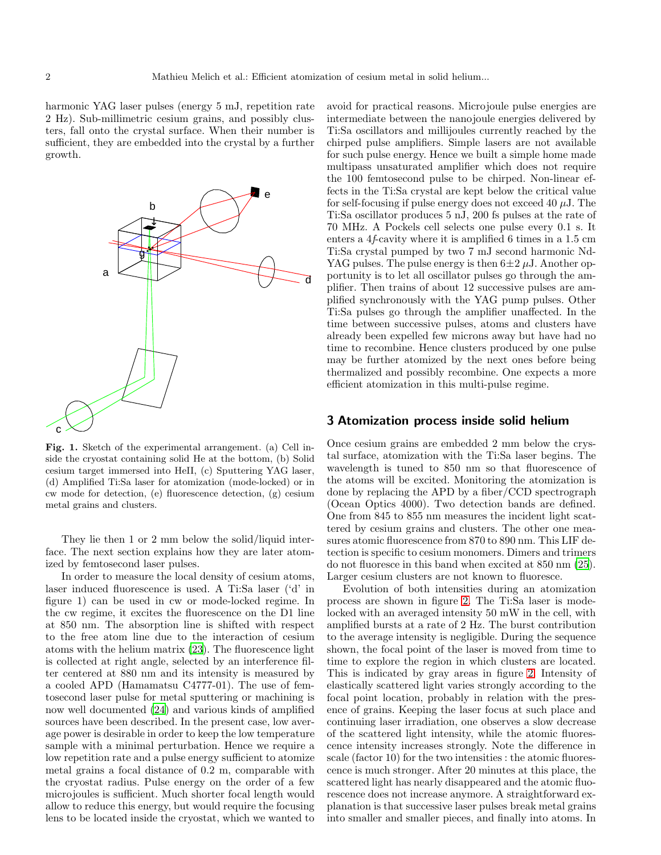harmonic YAG laser pulses (energy 5 mJ, repetition rate 2 Hz). Sub-millimetric cesium grains, and possibly clusters, fall onto the crystal surface. When their number is sufficient, they are embedded into the crystal by a further growth.



<span id="page-1-0"></span>Fig. 1. Sketch of the experimental arrangement. (a) Cell inside the cryostat containing solid He at the bottom, (b) Solid cesium target immersed into HeII, (c) Sputtering YAG laser, (d) Amplified Ti:Sa laser for atomization (mode-locked) or in cw mode for detection, (e) fluorescence detection, (g) cesium metal grains and clusters.

They lie then 1 or 2 mm below the solid/liquid interface. The next section explains how they are later atomized by femtosecond laser pulses.

In order to measure the local density of cesium atoms, laser induced fluorescence is used. A Ti:Sa laser ('d' in figure 1) can be used in cw or mode-locked regime. In the cw regime, it excites the fluorescence on the D1 line at 850 nm. The absorption line is shifted with respect to the free atom line due to the interaction of cesium atoms with the helium matrix [\(23\)](#page-3-15). The fluorescence light is collected at right angle, selected by an interference filter centered at 880 nm and its intensity is measured by a cooled APD (Hamamatsu C4777-01). The use of femtosecond laser pulse for metal sputtering or machining is now well documented [\(24\)](#page-3-16) and various kinds of amplified sources have been described. In the present case, low average power is desirable in order to keep the low temperature sample with a minimal perturbation. Hence we require a low repetition rate and a pulse energy sufficient to atomize metal grains a focal distance of 0.2 m, comparable with the cryostat radius. Pulse energy on the order of a few microjoules is sufficient. Much shorter focal length would allow to reduce this energy, but would require the focusing lens to be located inside the cryostat, which we wanted to avoid for practical reasons. Microjoule pulse energies are intermediate between the nanojoule energies delivered by Ti:Sa oscillators and millijoules currently reached by the chirped pulse amplifiers. Simple lasers are not available for such pulse energy. Hence we built a simple home made multipass unsaturated amplifier which does not require the 100 femtosecond pulse to be chirped. Non-linear effects in the Ti:Sa crystal are kept below the critical value for self-focusing if pulse energy does not exceed 40  $\mu$ J. The Ti:Sa oscillator produces 5 nJ, 200 fs pulses at the rate of 70 MHz. A Pockels cell selects one pulse every 0.1 s. It enters a 4f-cavity where it is amplified 6 times in a 1.5 cm Ti:Sa crystal pumped by two 7 mJ second harmonic Nd-YAG pulses. The pulse energy is then  $6\pm 2 \mu J$ . Another opportunity is to let all oscillator pulses go through the amplifier. Then trains of about 12 successive pulses are amplified synchronously with the YAG pump pulses. Other Ti:Sa pulses go through the amplifier unaffected. In the time between successive pulses, atoms and clusters have already been expelled few microns away but have had no time to recombine. Hence clusters produced by one pulse may be further atomized by the next ones before being thermalized and possibly recombine. One expects a more efficient atomization in this multi-pulse regime.

#### 3 Atomization process inside solid helium

Once cesium grains are embedded 2 mm below the crystal surface, atomization with the Ti:Sa laser begins. The wavelength is tuned to 850 nm so that fluorescence of the atoms will be excited. Monitoring the atomization is done by replacing the APD by a fiber/CCD spectrograph (Ocean Optics 4000). Two detection bands are defined. One from 845 to 855 nm measures the incident light scattered by cesium grains and clusters. The other one measures atomic fluorescence from 870 to 890 nm. This LIF detection is specific to cesium monomers. Dimers and trimers do not fluoresce in this band when excited at 850 nm [\(25\)](#page-3-17). Larger cesium clusters are not known to fluoresce.

Evolution of both intensities during an atomization process are shown in figure [2.](#page-2-7) The Ti:Sa laser is modelocked with an averaged intensity 50 mW in the cell, with amplified bursts at a rate of 2 Hz. The burst contribution to the average intensity is negligible. During the sequence shown, the focal point of the laser is moved from time to time to explore the region in which clusters are located. This is indicated by gray areas in figure [2.](#page-2-7) Intensity of elastically scattered light varies strongly according to the focal point location, probably in relation with the presence of grains. Keeping the laser focus at such place and continuing laser irradiation, one observes a slow decrease of the scattered light intensity, while the atomic fluorescence intensity increases strongly. Note the difference in scale (factor 10) for the two intensities : the atomic fluorescence is much stronger. After 20 minutes at this place, the scattered light has nearly disappeared and the atomic fluorescence does not increase anymore. A straightforward explanation is that successive laser pulses break metal grains into smaller and smaller pieces, and finally into atoms. In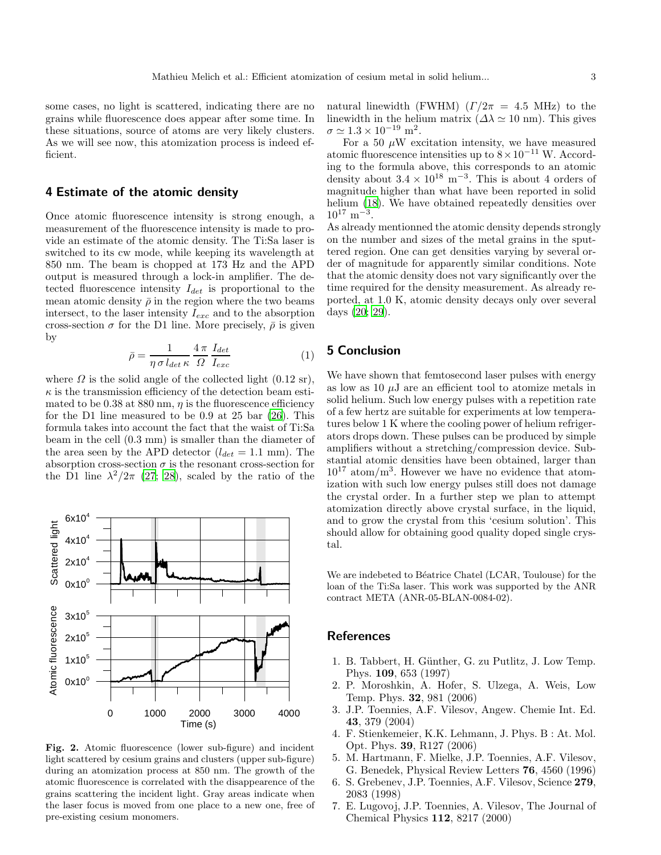some cases, no light is scattered, indicating there are no grains while fluorescence does appear after some time. In these situations, source of atoms are very likely clusters. As we will see now, this atomization process is indeed efficient.

## 4 Estimate of the atomic density

Once atomic fluorescence intensity is strong enough, a measurement of the fluorescence intensity is made to provide an estimate of the atomic density. The Ti:Sa laser is switched to its cw mode, while keeping its wavelength at 850 nm. The beam is chopped at 173 Hz and the APD output is measured through a lock-in amplifier. The detected fluorescence intensity  $I_{det}$  is proportional to the mean atomic density  $\bar{\rho}$  in the region where the two beams intersect, to the laser intensity  $I_{exc}$  and to the absorption cross-section  $\sigma$  for the D1 line. More precisely,  $\bar{\rho}$  is given by

$$
\bar{\rho} = \frac{1}{\eta \sigma l_{det} \kappa} \frac{4\pi}{\Omega} \frac{I_{det}}{I_{exc}}
$$
(1)

where  $\Omega$  is the solid angle of the collected light (0.12 sr),  $\kappa$  is the transmission efficiency of the detection beam estimated to be 0.38 at 880 nm,  $\eta$  is the fluorescence efficiency for the D1 line measured to be 0.9 at 25 bar [\(26](#page-3-18)). This formula takes into account the fact that the waist of Ti:Sa beam in the cell (0.3 mm) is smaller than the diameter of the area seen by the APD detector  $(l_{det} = 1.1 \text{ mm})$ . The absorption cross-section  $\sigma$  is the resonant cross-section for the D1 line  $\lambda^2/2\pi$  [\(27](#page-3-19); [28](#page-3-20)), scaled by the ratio of the



<span id="page-2-7"></span>Fig. 2. Atomic fluorescence (lower sub-figure) and incident light scattered by cesium grains and clusters (upper sub-figure) during an atomization process at 850 nm. The growth of the atomic fluorescence is correlated with the disappearence of the grains scattering the incident light. Gray areas indicate when the laser focus is moved from one place to a new one, free of pre-existing cesium monomers.

natural linewidth (FWHM)  $(\Gamma/2\pi = 4.5 \text{ MHz})$  to the linewidth in the helium matrix  $(\Delta \lambda \simeq 10 \text{ nm})$ . This gives  $\sigma \simeq 1.3 \times 10^{-19}$  m<sup>2</sup>.

For a 50  $\mu$ W excitation intensity, we have measured atomic fluorescence intensities up to  $8 \times 10^{-11}$  W. According to the formula above, this corresponds to an atomic density about  $3.4 \times 10^{18} \text{ m}^{-3}$ . This is about 4 orders of magnitude higher than what have been reported in solid helium [\(18\)](#page-3-10). We have obtained repeatedly densities over  $10^{17}$  m<sup>-3</sup>.

As already mentionned the atomic density depends strongly on the number and sizes of the metal grains in the sputtered region. One can get densities varying by several order of magnitude for apparently similar conditions. Note that the atomic density does not vary significantly over the time required for the density measurement. As already reported, at 1.0 K, atomic density decays only over several days [\(20](#page-3-12); [29\)](#page-3-21).

# 5 Conclusion

We have shown that femtosecond laser pulses with energy as low as 10  $\mu$ J are an efficient tool to atomize metals in solid helium. Such low energy pulses with a repetition rate of a few hertz are suitable for experiments at low temperatures below 1 K where the cooling power of helium refrigerators drops down. These pulses can be produced by simple amplifiers without a stretching/compression device. Substantial atomic densities have been obtained, larger than  $10^{17}$  atom/m<sup>3</sup>. However we have no evidence that atomization with such low energy pulses still does not damage the crystal order. In a further step we plan to attempt atomization directly above crystal surface, in the liquid, and to grow the crystal from this 'cesium solution'. This should allow for obtaining good quality doped single crystal.

We are indebeted to Béatrice Chatel (LCAR, Toulouse) for the loan of the Ti:Sa laser. This work was supported by the ANR contract META (ANR-05-BLAN-0084-02).

## **References**

- <span id="page-2-0"></span>1. B. Tabbert, H. Günther, G. zu Putlitz, J. Low Temp. Phys. 109, 653 (1997)
- <span id="page-2-1"></span>2. P. Moroshkin, A. Hofer, S. Ulzega, A. Weis, Low Temp. Phys. 32, 981 (2006)
- <span id="page-2-2"></span>3. J.P. Toennies, A.F. Vilesov, Angew. Chemie Int. Ed. 43, 379 (2004)
- <span id="page-2-3"></span>4. F. Stienkemeier, K.K. Lehmann, J. Phys. B : At. Mol. Opt. Phys. 39, R127 (2006)
- <span id="page-2-4"></span>5. M. Hartmann, F. Mielke, J.P. Toennies, A.F. Vilesov, G. Benedek, Physical Review Letters 76, 4560 (1996)
- <span id="page-2-5"></span>6. S. Grebenev, J.P. Toennies, A.F. Vilesov, Science 279, 2083 (1998)
- <span id="page-2-6"></span>7. E. Lugovoj, J.P. Toennies, A. Vilesov, The Journal of Chemical Physics 112, 8217 (2000)